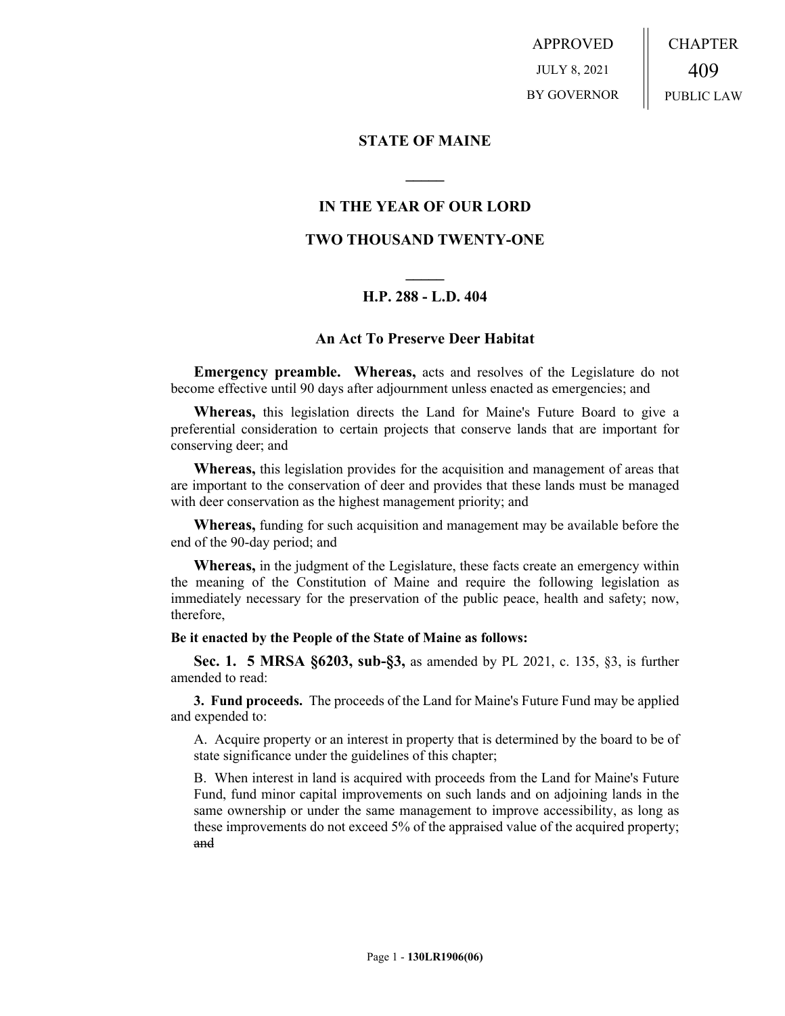APPROVED JULY 8, 2021 BY GOVERNOR CHAPTER 409 PUBLIC LAW

## **STATE OF MAINE**

## **IN THE YEAR OF OUR LORD**

**\_\_\_\_\_**

## **TWO THOUSAND TWENTY-ONE**

# **\_\_\_\_\_ H.P. 288 - L.D. 404**

### **An Act To Preserve Deer Habitat**

**Emergency preamble. Whereas,** acts and resolves of the Legislature do not become effective until 90 days after adjournment unless enacted as emergencies; and

**Whereas,** this legislation directs the Land for Maine's Future Board to give a preferential consideration to certain projects that conserve lands that are important for conserving deer; and

**Whereas,** this legislation provides for the acquisition and management of areas that are important to the conservation of deer and provides that these lands must be managed with deer conservation as the highest management priority; and

**Whereas,** funding for such acquisition and management may be available before the end of the 90-day period; and

**Whereas,** in the judgment of the Legislature, these facts create an emergency within the meaning of the Constitution of Maine and require the following legislation as immediately necessary for the preservation of the public peace, health and safety; now, therefore,

#### **Be it enacted by the People of the State of Maine as follows:**

**Sec. 1. 5 MRSA §6203, sub-§3,** as amended by PL 2021, c. 135, §3, is further amended to read:

**3. Fund proceeds.** The proceeds of the Land for Maine's Future Fund may be applied and expended to:

A. Acquire property or an interest in property that is determined by the board to be of state significance under the guidelines of this chapter;

B. When interest in land is acquired with proceeds from the Land for Maine's Future Fund, fund minor capital improvements on such lands and on adjoining lands in the same ownership or under the same management to improve accessibility, as long as these improvements do not exceed 5% of the appraised value of the acquired property; and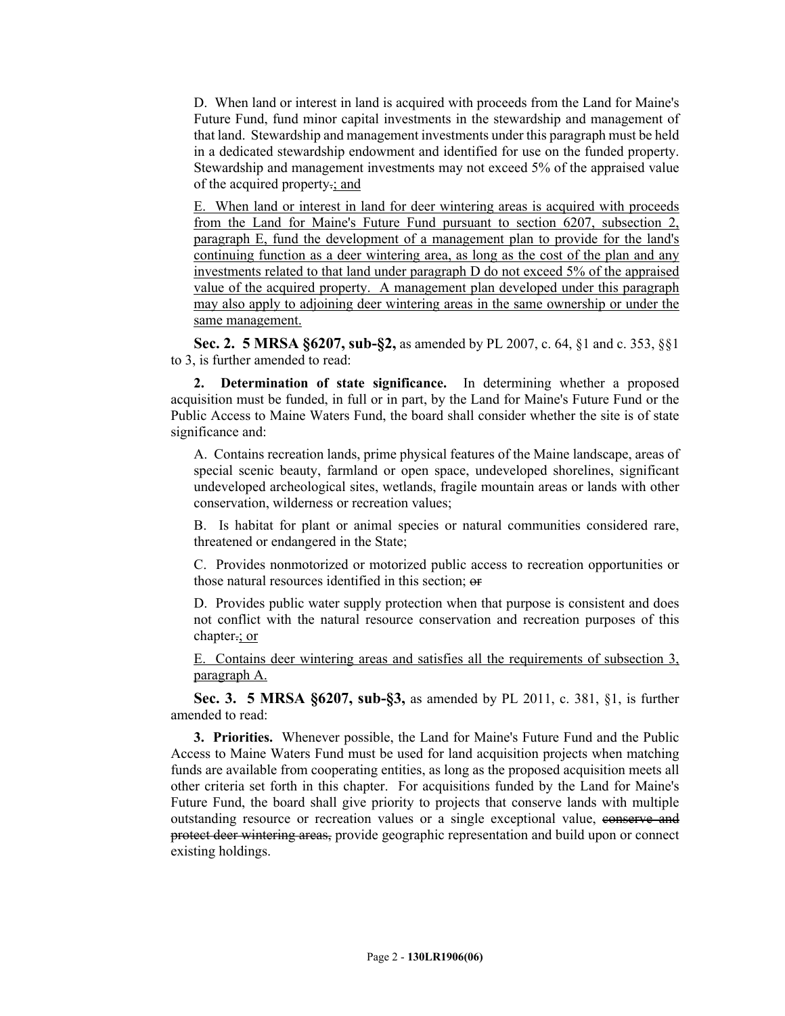D. When land or interest in land is acquired with proceeds from the Land for Maine's Future Fund, fund minor capital investments in the stewardship and management of that land. Stewardship and management investments under this paragraph must be held in a dedicated stewardship endowment and identified for use on the funded property. Stewardship and management investments may not exceed 5% of the appraised value of the acquired property.; and

E. When land or interest in land for deer wintering areas is acquired with proceeds from the Land for Maine's Future Fund pursuant to section 6207, subsection 2, paragraph E, fund the development of a management plan to provide for the land's continuing function as a deer wintering area, as long as the cost of the plan and any investments related to that land under paragraph D do not exceed 5% of the appraised value of the acquired property. A management plan developed under this paragraph may also apply to adjoining deer wintering areas in the same ownership or under the same management.

**Sec. 2. 5 MRSA §6207, sub-§2,** as amended by PL 2007, c. 64, §1 and c. 353, §§1 to 3, is further amended to read:

**2. Determination of state significance.** In determining whether a proposed acquisition must be funded, in full or in part, by the Land for Maine's Future Fund or the Public Access to Maine Waters Fund, the board shall consider whether the site is of state significance and:

A. Contains recreation lands, prime physical features of the Maine landscape, areas of special scenic beauty, farmland or open space, undeveloped shorelines, significant undeveloped archeological sites, wetlands, fragile mountain areas or lands with other conservation, wilderness or recreation values;

B. Is habitat for plant or animal species or natural communities considered rare, threatened or endangered in the State;

C. Provides nonmotorized or motorized public access to recreation opportunities or those natural resources identified in this section; or

D. Provides public water supply protection when that purpose is consistent and does not conflict with the natural resource conservation and recreation purposes of this chapter.; or

E. Contains deer wintering areas and satisfies all the requirements of subsection 3, paragraph A.

**Sec. 3. 5 MRSA §6207, sub-§3,** as amended by PL 2011, c. 381, §1, is further amended to read:

**3. Priorities.** Whenever possible, the Land for Maine's Future Fund and the Public Access to Maine Waters Fund must be used for land acquisition projects when matching funds are available from cooperating entities, as long as the proposed acquisition meets all other criteria set forth in this chapter. For acquisitions funded by the Land for Maine's Future Fund, the board shall give priority to projects that conserve lands with multiple outstanding resource or recreation values or a single exceptional value, conserve and protect deer wintering areas, provide geographic representation and build upon or connect existing holdings.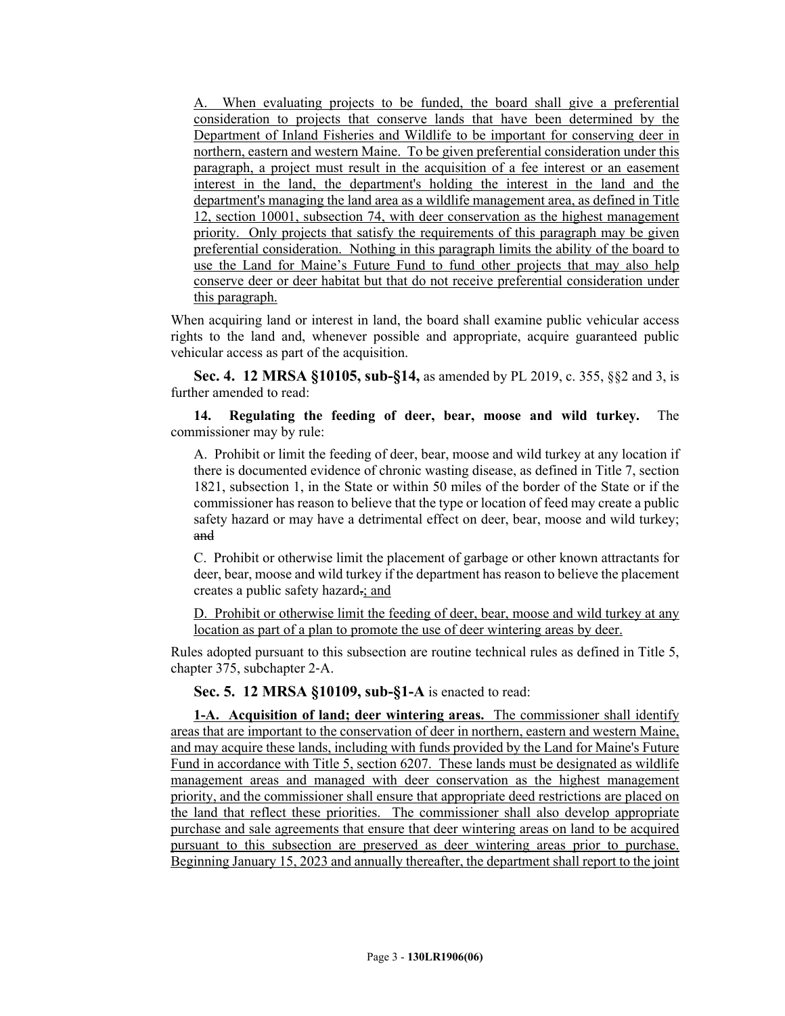A. When evaluating projects to be funded, the board shall give a preferential consideration to projects that conserve lands that have been determined by the Department of Inland Fisheries and Wildlife to be important for conserving deer in northern, eastern and western Maine. To be given preferential consideration under this paragraph, a project must result in the acquisition of a fee interest or an easement interest in the land, the department's holding the interest in the land and the department's managing the land area as a wildlife management area, as defined in Title 12, section 10001, subsection 74, with deer conservation as the highest management priority. Only projects that satisfy the requirements of this paragraph may be given preferential consideration. Nothing in this paragraph limits the ability of the board to use the Land for Maine's Future Fund to fund other projects that may also help conserve deer or deer habitat but that do not receive preferential consideration under this paragraph.

When acquiring land or interest in land, the board shall examine public vehicular access rights to the land and, whenever possible and appropriate, acquire guaranteed public vehicular access as part of the acquisition.

**Sec. 4. 12 MRSA §10105, sub-§14,** as amended by PL 2019, c. 355, §§2 and 3, is further amended to read:

**14. Regulating the feeding of deer, bear, moose and wild turkey.** The commissioner may by rule:

A. Prohibit or limit the feeding of deer, bear, moose and wild turkey at any location if there is documented evidence of chronic wasting disease, as defined in Title 7, section 1821, subsection 1, in the State or within 50 miles of the border of the State or if the commissioner has reason to believe that the type or location of feed may create a public safety hazard or may have a detrimental effect on deer, bear, moose and wild turkey; and

C. Prohibit or otherwise limit the placement of garbage or other known attractants for deer, bear, moose and wild turkey if the department has reason to believe the placement creates a public safety hazard.; and

D. Prohibit or otherwise limit the feeding of deer, bear, moose and wild turkey at any location as part of a plan to promote the use of deer wintering areas by deer.

Rules adopted pursuant to this subsection are routine technical rules as defined in Title 5, chapter 375, subchapter 2‑A.

**Sec. 5. 12 MRSA §10109, sub-§1-A** is enacted to read:

**1-A. Acquisition of land; deer wintering areas.** The commissioner shall identify areas that are important to the conservation of deer in northern, eastern and western Maine, and may acquire these lands, including with funds provided by the Land for Maine's Future Fund in accordance with Title 5, section 6207. These lands must be designated as wildlife management areas and managed with deer conservation as the highest management priority, and the commissioner shall ensure that appropriate deed restrictions are placed on the land that reflect these priorities. The commissioner shall also develop appropriate purchase and sale agreements that ensure that deer wintering areas on land to be acquired pursuant to this subsection are preserved as deer wintering areas prior to purchase. Beginning January 15, 2023 and annually thereafter, the department shall report to the joint